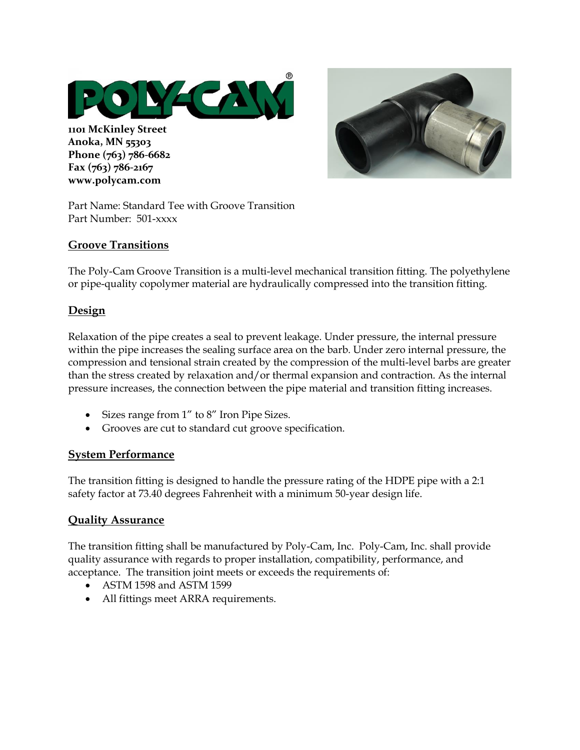

**1101 McKinley Street Anoka, MN 55303 Phone (763) 786-6682 Fax (763) 786-2167 www.polycam.com**

Part Name: Standard Tee with Groove Transition Part Number: 501-xxxx

### **Groove Transitions**

The Poly-Cam Groove Transition is a multi-level mechanical transition fitting. The polyethylene or pipe-quality copolymer material are hydraulically compressed into the transition fitting.

# **Design**

Relaxation of the pipe creates a seal to prevent leakage. Under pressure, the internal pressure within the pipe increases the sealing surface area on the barb. Under zero internal pressure, the compression and tensional strain created by the compression of the multi-level barbs are greater than the stress created by relaxation and/or thermal expansion and contraction. As the internal pressure increases, the connection between the pipe material and transition fitting increases.

- Sizes range from 1" to 8" Iron Pipe Sizes.
- Grooves are cut to standard cut groove specification.

#### **System Performance**

The transition fitting is designed to handle the pressure rating of the HDPE pipe with a 2:1 safety factor at 73.40 degrees Fahrenheit with a minimum 50-year design life.

#### **Quality Assurance**

The transition fitting shall be manufactured by Poly-Cam, Inc. Poly-Cam, Inc. shall provide quality assurance with regards to proper installation, compatibility, performance, and acceptance. The transition joint meets or exceeds the requirements of:

- ASTM 1598 and ASTM 1599
- All fittings meet ARRA requirements.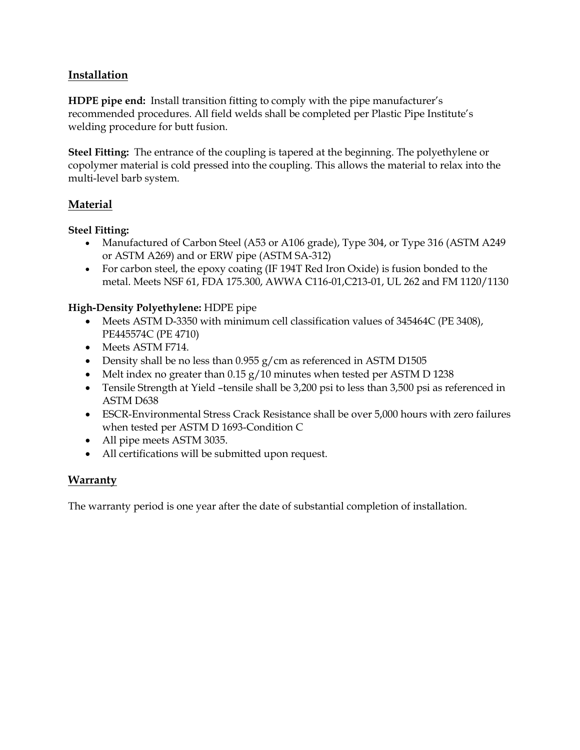# **Installation**

**HDPE pipe end:** Install transition fitting to comply with the pipe manufacturer's recommended procedures. All field welds shall be completed per Plastic Pipe Institute's welding procedure for butt fusion.

**Steel Fitting:** The entrance of the coupling is tapered at the beginning. The polyethylene or copolymer material is cold pressed into the coupling. This allows the material to relax into the multi-level barb system.

### **Material**

#### **Steel Fitting:**

- Manufactured of Carbon Steel (A53 or A106 grade), Type 304, or Type 316 (ASTM A249 or ASTM A269) and or ERW pipe (ASTM SA-312)
- For carbon steel, the epoxy coating (IF 194T Red Iron Oxide) is fusion bonded to the metal. Meets NSF 61, FDA 175.300, AWWA C116-01,C213-01, UL 262 and FM 1120/1130

#### **High-Density Polyethylene:** HDPE pipe

- Meets ASTM D-3350 with minimum cell classification values of 345464C (PE 3408), PE445574C (PE 4710)
- Meets ASTM F714.
- Density shall be no less than  $0.955$  g/cm as referenced in ASTM D1505
- Melt index no greater than 0.15 g/10 minutes when tested per ASTM D 1238
- Tensile Strength at Yield –tensile shall be 3,200 psi to less than 3,500 psi as referenced in ASTM D638
- ESCR-Environmental Stress Crack Resistance shall be over 5,000 hours with zero failures when tested per ASTM D 1693-Condition C
- All pipe meets ASTM 3035.
- All certifications will be submitted upon request.

# **Warranty**

The warranty period is one year after the date of substantial completion of installation.